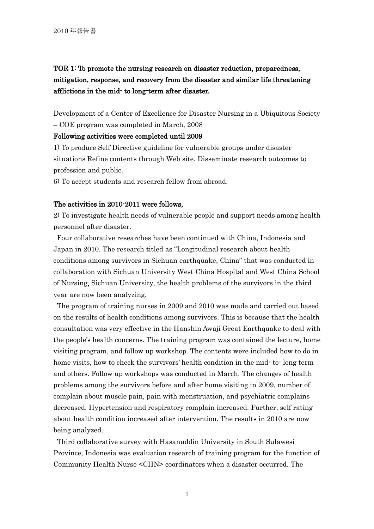# TOR 1: To promote the nursing research on disaster reduction, preparedness, mitigation, response, and recovery from the disaster and similar life threatening afflictions in the mid- to long-term after disaster.

Development of a Center of Excellence for Disaster Nursing in a Ubiquitous Society – COE program was completed in March, 2008

## Following activities were completed until 2009

1) To produce Self Directive guideline for vulnerable groups under disaster situations Refine contents through Web site. Disseminate research outcomes to profession and public.

6) To accept students and research fellow from abroad.

#### The activities in 2010-2011 were follows,

2) To investigate health needs of vulnerable people and support needs among health personnel after disaster.

Four collaborative researches have been continued with China, Indonesia and Japan in 2010. The research titled as "Longitudinal research about health conditions among survivors in Sichuan earthquake, China" that was conducted in collaboration with Sichuan University West China Hospital and West China School of Nursing, Sichuan University, the health problems of the survivors in the third year are now been analyzing.

The program of training nurses in 2009 and 2010 was made and carried out based on the results of health conditions among survivors. This is because that the health consultation was very effective in the Hanshin Awaji Great Earthquake to deal with the people's health concerns. The training program was contained the lecture, home visiting program, and follow up workshop. The contents were included how to do in home visits, how to check the survivors' health condition in the mid- to- long term and others. Follow up workshops was conducted in March. The changes of health problems among the survivors before and after home visiting in 2009, number of complain about muscle pain, pain with menstruation, and psychiatric complains decreased. Hypertension and respiratory complain increased. Further, self rating about health condition increased after intervention. The results in 2010 are now being analyzed.

Third collaborative survey with Hasanuddin University in South Sulawesi Province, Indonesia was evaluation research of training program for the function of Community Health Nurse <CHN> coordinators when a disaster occurred. The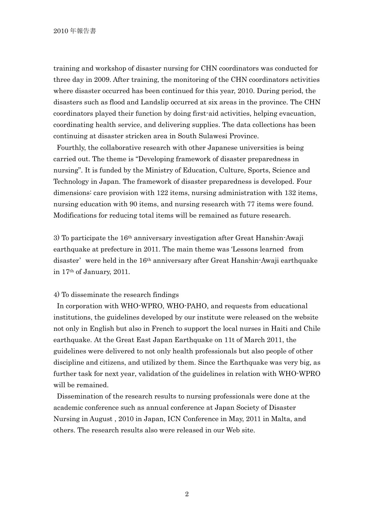training and workshop of disaster nursing for CHN coordinators was conducted for three day in 2009. After training, the monitoring of the CHN coordinators activities where disaster occurred has been continued for this year, 2010. During period, the disasters such as flood and Landslip occurred at six areas in the province. The CHN coordinators played their function by doing first-aid activities, helping evacuation, coordinating health service, and delivering supplies. The data collections has been continuing at disaster stricken area in South Sulawesi Province.

Fourthly, the collaborative research with other Japanese universities is being carried out. The theme is "Developing framework of disaster preparedness in nursing". It is funded by the Ministry of Education, Culture, Sports, Science and Technology in Japan. The framework of disaster preparedness is developed. Four dimensions: care provision with 122 items, nursing administration with 132 items, nursing education with 90 items, and nursing research with 77 items were found. Modifications for reducing total items will be remained as future research.

 $3)$  To participate the  $16<sup>th</sup>$  anniversary investigation after Great Hanshin-Awaji earthquake at prefecture in 2011. The main theme was 'Lessons learned from disaster' were held in the 16th anniversary after Great Hanshin-Awaji earthquake in 17th of January, 2011.

#### 4) To disseminate the research findings

In corporation with WHO-WPRO, WHO-PAHO, and requests from educational institutions, the guidelines developed by our institute were released on the website not only in English but also in French to support the local nurses in Haiti and Chile earthquake. At the Great East Japan Earthquake on 11t of March 2011, the guidelines were delivered to not only health professionals but also people of other discipline and citizens, and utilized by them. Since the Earthquake was very big, as further task for next year, validation of the guidelines in relation with WHO-WPRO will be remained.

Dissemination of the research results to nursing professionals were done at the academic conference such as annual conference at Japan Society of Disaster Nursing in August , 2010 in Japan, ICN Conference in May, 2011 in Malta, and others. The research results also were released in our Web site.

2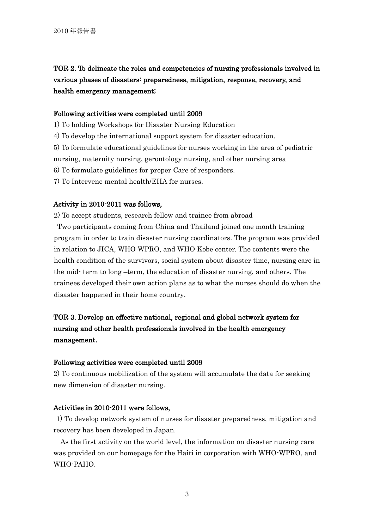TOR 2. To delineate the roles and competencies of nursing professionals involved in various phases of disasters: preparedness, mitigation, response, recovery, and health emergency management;

## Following activities were completed until 2009

1) To holding Workshops for Disaster Nursing Education

4) To develop the international support system for disaster education.

5) To formulate educational guidelines for nurses working in the area of pediatric

nursing, maternity nursing, gerontology nursing, and other nursing area

6) To formulate guidelines for proper Care of responders.

7) To Intervene mental health/EHA for nurses.

#### Activity in 2010-2011 was follows,

2) To accept students, research fellow and trainee from abroad

Two participants coming from China and Thailand joined one month training program in order to train disaster nursing coordinators. The program was provided in relation to JICA, WHO WPRO, and WHO Kobe center. The contents were the health condition of the survivors, social system about disaster time, nursing care in the mid- term to long –term, the education of disaster nursing, and others. The trainees developed their own action plans as to what the nurses should do when the disaster happened in their home country.

# TOR 3. Develop an effective national, regional and global network system for nursing and other health professionals involved in the health emergency management.

## Following activities were completed until 2009

2) To continuous mobilization of the system will accumulate the data for seeking new dimension of disaster nursing.

## Activities in 2010-2011 were follows,

1) To develop network system of nurses for disaster preparedness, mitigation and recovery has been developed in Japan.

As the first activity on the world level, the information on disaster nursing care was provided on our homepage for the Haiti in corporation with WHO-WPRO, and WHO-PAHO.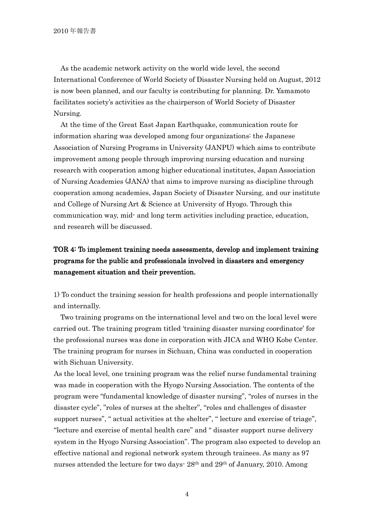As the academic network activity on the world wide level, the second International Conference of World Society of Disaster Nursing held on August, 2012 is now been planned, and our faculty is contributing for planning. Dr. Yamamoto facilitates society's activities as the chairperson of World Society of Disaster Nursing.

At the time of the Great East Japan Earthquake, communication route for information sharing was developed among four organizations: the Japanese Association of Nursing Programs in University (JANPU) which aims to contribute improvement among people through improving nursing education and nursing research with cooperation among higher educational institutes, Japan Association of Nursing Academies (JANA) that aims to improve nursing as discipline through cooperation among academies, Japan Society of Disaster Nursing, and our institute and College of Nursing Art & Science at University of Hyogo. Through this communication way, mid- and long term activities including practice, education, and research will be discussed.

# TOR 4: To implement training needs assessments, develop and implement training programs for the public and professionals involved in disasters and emergency management situation and their prevention.

1) To conduct the training session for health professions and people internationally and internally.

Two training programs on the international level and two on the local level were carried out. The training program titled 'training disaster nursing coordinator' for the professional nurses was done in corporation with JICA and WHO Kobe Center. The training program for nurses in Sichuan, China was conducted in cooperation with Sichuan University.

As the local level, one training program was the relief nurse fundamental training was made in cooperation with the Hyogo Nursing Association. The contents of the program were "fundamental knowledge of disaster nursing", "roles of nurses in the disaster cycle", "roles of nurses at the shelter", "roles and challenges of disaster support nurses", " actual activities at the shelter", " lecture and exercise of triage", "lecture and exercise of mental health care" and " disaster support nurse delivery system in the Hyogo Nursing Association". The program also expected to develop an effective national and regional network system through trainees. As many as 97 nurses attended the lecture for two days- 28th and 29th of January, 2010. Among